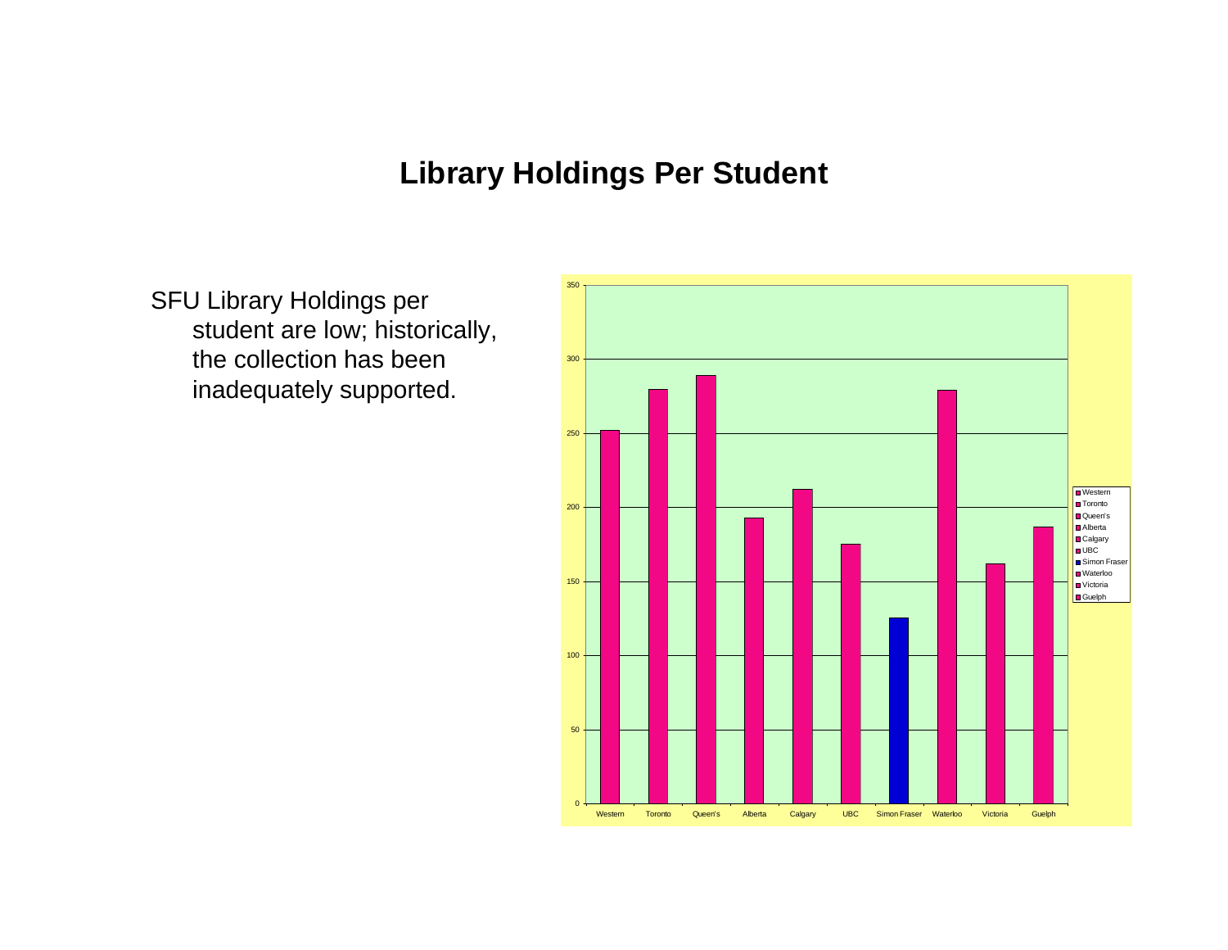## **Library Holdings Per Student**

SFU Library Holdings per student are low; historically, the collection has been inadequately supported.

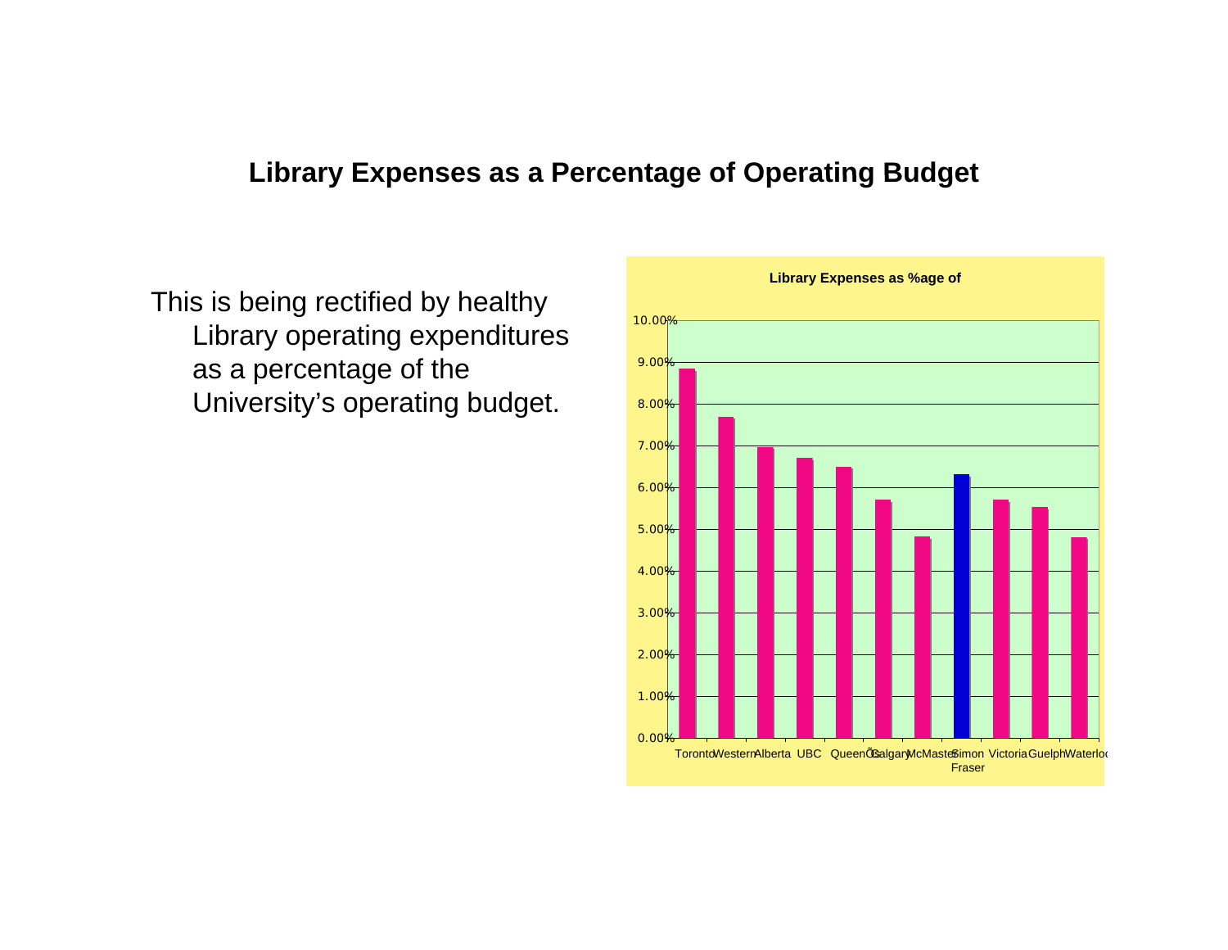## **Library Expenses as <sup>a</sup> Percentage of Operating Budget**

This is being rectified by healthy Library operating expenditures as a percentage of the University's operating budget. <mark>s.00</mark>%

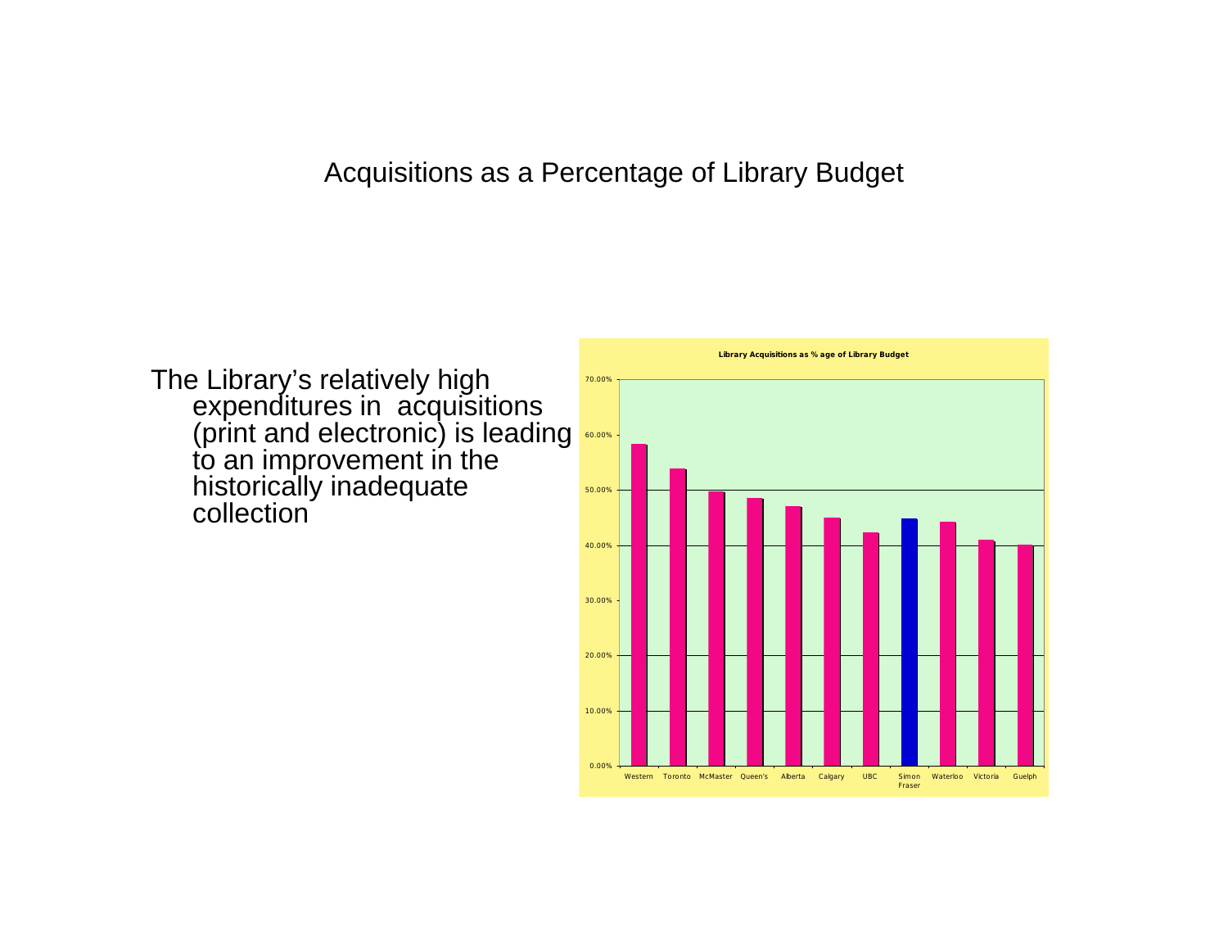## Acquisitions as <sup>a</sup> Percentage of Library Budget

The Library's relatively high expenditures in acquisitions (print and electronic) is leading to an improvement in the historically inadequate collection